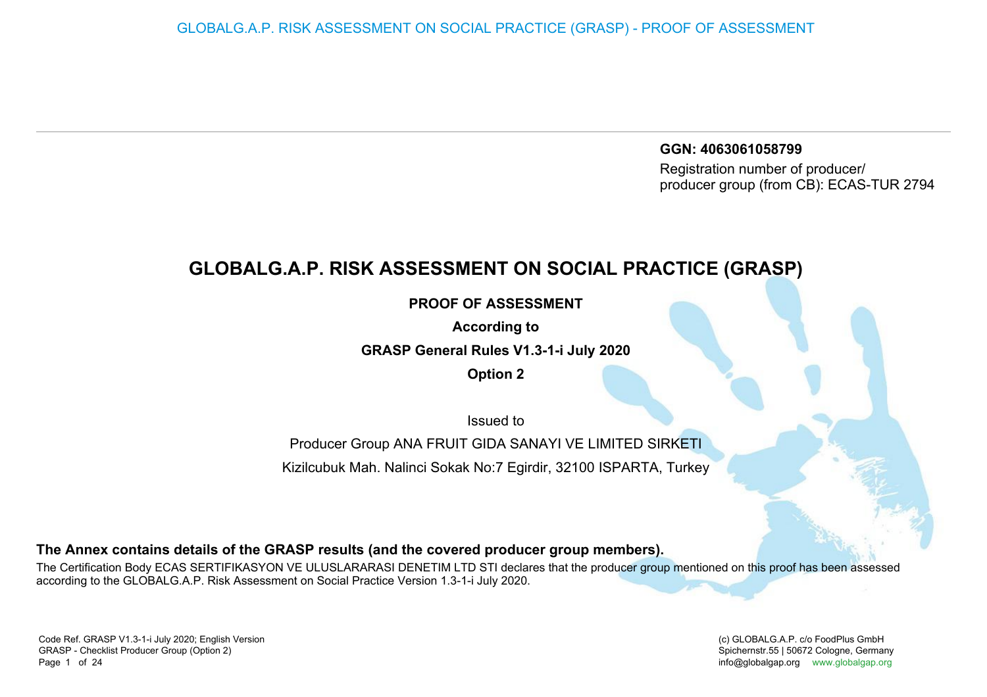**GGN: 4063061058799** Registration number of producer/producer group (from CB): ECAS-TUR 2794

## **GLOBALG.A.P. RISK ASSESSMENT ON SOCIAL PRACTICE (GRASP)**

**PROOF OF ASSESSMENT**

**According to**

**GRASP General Rules V1.3-1-i July 2020**

**Option 2**

Issued to

Producer Group ANA FRUIT GIDA SANAYI VE LIMITED SIRKETIKizilcubuk Mah. Nalinci Sokak No:7 Egirdir, 32100 ISPARTA, Turkey

**The Annex contains details of the GRASP results (and the covered producer group members).**

The Certification Body ECAS SERTIFIKASYON VE ULUSLARARASI DENETIM LTD STI declares that the producer group mentioned on this proof has been assessedaccording to the GLOBALG.A.P. Risk Assessment on Social Practice Version 1.3-1-i July 2020.

(c) GLOBALG.A.P. c/o FoodPlus GmbHSpichernstr.55 | 50672 Cologne, Germany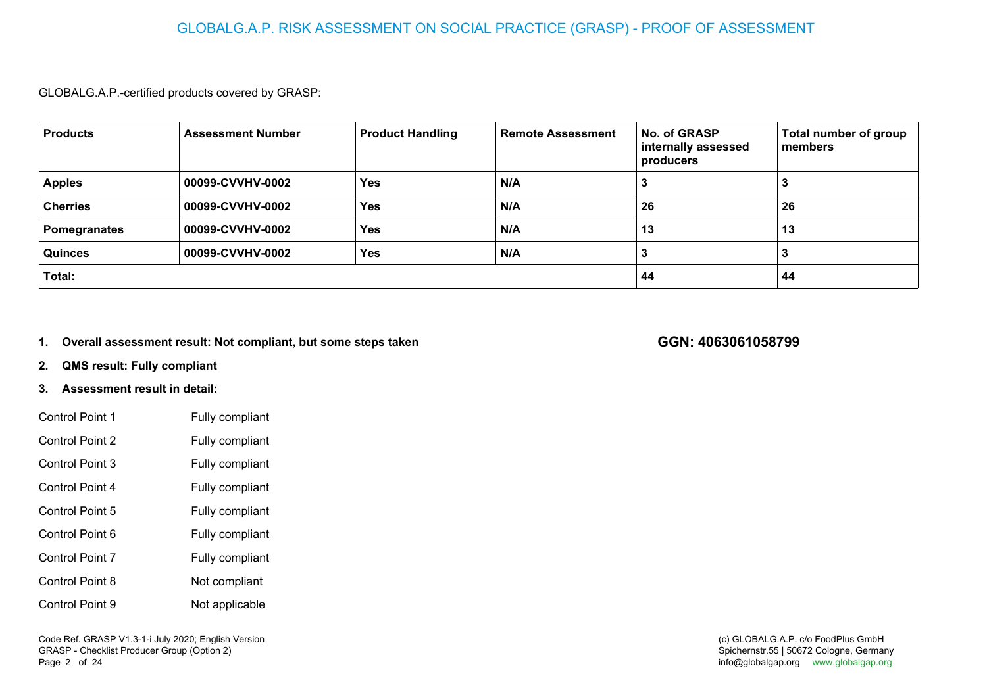## GLOBALG.A.P. RISK ASSESSMENT ON SOCIAL PRACTICE (GRASP) - PROOF OF ASSESSMENT

GLOBALG.A.P.-certified products covered by GRASP:

| <b>Products</b>     | <b>Assessment Number</b> | <b>Product Handling</b> | <b>Remote Assessment</b> | <b>No. of GRASP</b><br>internally assessed<br>producers | Total number of group<br>members |
|---------------------|--------------------------|-------------------------|--------------------------|---------------------------------------------------------|----------------------------------|
| <b>Apples</b>       | 00099-CVVHV-0002         | <b>Yes</b>              | N/A                      |                                                         |                                  |
| <b>Cherries</b>     | 00099-CVVHV-0002         | <b>Yes</b>              | N/A                      | 26                                                      | 26                               |
| <b>Pomegranates</b> | 00099-CVVHV-0002         | <b>Yes</b>              | N/A                      | 13                                                      | 13                               |
| Quinces             | 00099-CVVHV-0002         | <b>Yes</b>              | N/A                      |                                                         |                                  |
| Total:              |                          |                         |                          | 44                                                      | 44                               |

**1.Overall assessment result: Not compliant, but some steps taken** **GGN: 4063061058799**

**2.QMS result: Fully compliant**

## **3. Assessment result in detail:**

| Control Point 1        | Fully compliant |
|------------------------|-----------------|
| <b>Control Point 2</b> | Fully compliant |
| <b>Control Point 3</b> | Fully compliant |
| Control Point 4        | Fully compliant |
| <b>Control Point 5</b> | Fully compliant |
| Control Point 6        | Fully compliant |
| <b>Control Point 7</b> | Fully compliant |
| <b>Control Point 8</b> | Not compliant   |
| Control Point 9        | Not applicable  |